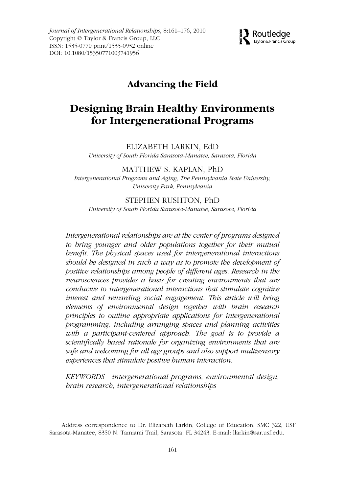*Journal of Intergenerational Relationships*, 8:161–176, 2010 Copyright © Taylor & Francis Group, LLC ISSN: 1535-0770 print/1535-0932 online DOI: 10.1080/15350771003741956



## WJIR 1535-0770 1535-0932Journal of Intergenerational Relationships, Vol. 8, No. 2, Mar 2010: pp. 0–0 Relationships **Advancing the Field**

# **Designing Brain Healthy Environments for Intergenerational Programs**

## ELIZABETH LARKIN, EdD.

*University of South Florida Sarasota-Manatee, Sarasota, Florida*

## MATTHEW S. KAPLAN, PhD

*Intergenerational Programs and Aging, The Pennsylvania State University, University Park, Pennsylvania*

#### STEPHEN RUSHTON, PhD

*University of South Florida Sarasota-Manatee, Sarasota, Florida*

*Intergenerational relationships are at the center of programs designed to bring younger and older populations together for their mutual benefit. The physical spaces used for intergenerational interactions should be designed in such a way as to promote the development of positive relationships among people of different ages. Research in the neurosciences provides a basis for creating environments that are conducive to intergenerational interactions that stimulate cognitive interest and rewarding social engagement. This article will bring elements of environmental design together with brain research principles to outline appropriate applications for intergenerational programming, including arranging spaces and planning activities with a participant-centered approach. The goal is to provide a scientifically based rationale for organizing environments that are safe and welcoming for all age groups and also support multisensory experiences that stimulate positive human interaction.*

*KEYWORDS intergenerational programs, environmental design, brain research, intergenerational relationships*

Address correspondence to Dr. Elizabeth Larkin, College of Education, SMC 322, USF Sarasota-Manatee, 8350 N. Tamiami Trail, Sarasota, FL 34243. E-mail: llarkin@sar.usf.edu.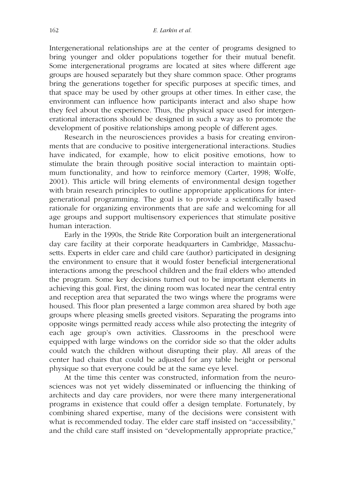Intergenerational relationships are at the center of programs designed to bring younger and older populations together for their mutual benefit. Some intergenerational programs are located at sites where different age groups are housed separately but they share common space. Other programs bring the generations together for specific purposes at specific times, and that space may be used by other groups at other times. In either case, the environment can influence how participants interact and also shape how they feel about the experience. Thus, the physical space used for intergenerational interactions should be designed in such a way as to promote the development of positive relationships among people of different ages.

Research in the neurosciences provides a basis for creating environments that are conducive to positive intergenerational interactions. Studies have indicated, for example, how to elicit positive emotions, how to stimulate the brain through positive social interaction to maintain optimum functionality, and how to reinforce memory (Carter, 1998; Wolfe, 2001). This article will bring elements of environmental design together with brain research principles to outline appropriate applications for intergenerational programming. The goal is to provide a scientifically based rationale for organizing environments that are safe and welcoming for all age groups and support multisensory experiences that stimulate positive human interaction.

Early in the 1990s, the Stride Rite Corporation built an intergenerational day care facility at their corporate headquarters in Cambridge, Massachusetts. Experts in elder care and child care (author) participated in designing the environment to ensure that it would foster beneficial intergenerational interactions among the preschool children and the frail elders who attended the program. Some key decisions turned out to be important elements in achieving this goal. First, the dining room was located near the central entry and reception area that separated the two wings where the programs were housed. This floor plan presented a large common area shared by both age groups where pleasing smells greeted visitors. Separating the programs into opposite wings permitted ready access while also protecting the integrity of each age group's own activities. Classrooms in the preschool were equipped with large windows on the corridor side so that the older adults could watch the children without disrupting their play. All areas of the center had chairs that could be adjusted for any table height or personal physique so that everyone could be at the same eye level.

At the time this center was constructed, information from the neurosciences was not yet widely disseminated or influencing the thinking of architects and day care providers, nor were there many intergenerational programs in existence that could offer a design template. Fortunately, by combining shared expertise, many of the decisions were consistent with what is recommended today. The elder care staff insisted on "accessibility," and the child care staff insisted on "developmentally appropriate practice,"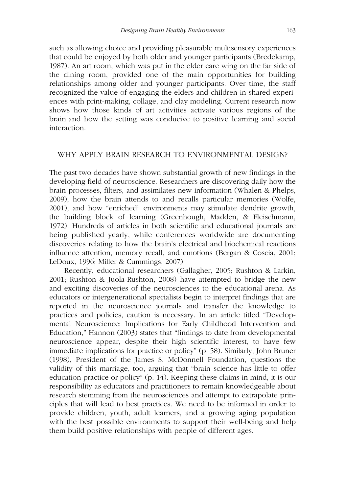such as allowing choice and providing pleasurable multisensory experiences that could be enjoyed by both older and younger participants (Bredekamp, 1987). An art room, which was put in the elder care wing on the far side of the dining room, provided one of the main opportunities for building relationships among older and younger participants. Over time, the staff recognized the value of engaging the elders and children in shared experiences with print-making, collage, and clay modeling. Current research now shows how those kinds of art activities activate various regions of the brain and how the setting was conducive to positive learning and social interaction.

## WHY APPLY BRAIN RESEARCH TO ENVIRONMENTAL DESIGN?

The past two decades have shown substantial growth of new findings in the developing field of neuroscience. Researchers are discovering daily how the brain processes, filters, and assimilates new information (Whalen & Phelps, 2009); how the brain attends to and recalls particular memories (Wolfe, 2001); and how "enriched" environments may stimulate dendrite growth, the building block of learning (Greenhough, Madden, & Fleischmann, 1972). Hundreds of articles in both scientific and educational journals are being published yearly, while conferences worldwide are documenting discoveries relating to how the brain's electrical and biochemical reactions influence attention, memory recall, and emotions (Bergan & Coscia, 2001; LeDoux, 1996; Miller & Cummings, 2007).

Recently, educational researchers (Gallagher, 2005; Rushton & Larkin, 2001; Rushton & Juola-Rushton, 2008) have attempted to bridge the new and exciting discoveries of the neurosciences to the educational arena. As educators or intergenerational specialists begin to interpret findings that are reported in the neuroscience journals and transfer the knowledge to practices and policies, caution is necessary. In an article titled "Developmental Neuroscience: Implications for Early Childhood Intervention and Education," Hannon (2003) states that "findings to date from developmental neuroscience appear, despite their high scientific interest, to have few immediate implications for practice or policy" (p. 58). Similarly, John Bruner (1998), President of the James S. McDonnell Foundation, questions the validity of this marriage, too, arguing that "brain science has little to offer education practice or policy" (p. 14). Keeping these claims in mind, it is our responsibility as educators and practitioners to remain knowledgeable about research stemming from the neurosciences and attempt to extrapolate principles that will lead to best practices. We need to be informed in order to provide children, youth, adult learners, and a growing aging population with the best possible environments to support their well-being and help them build positive relationships with people of different ages.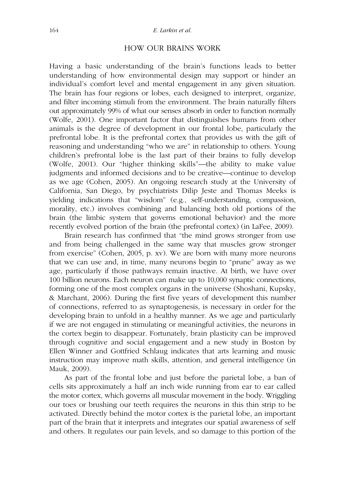## HOW OUR BRAINS WORK

Having a basic understanding of the brain's functions leads to better understanding of how environmental design may support or hinder an individual's comfort level and mental engagement in any given situation. The brain has four regions or lobes, each designed to interpret, organize, and filter incoming stimuli from the environment. The brain naturally filters out approximately 99% of what our senses absorb in order to function normally (Wolfe, 2001). One important factor that distinguishes humans from other animals is the degree of development in our frontal lobe, particularly the prefrontal lobe. It is the prefrontal cortex that provides us with the gift of reasoning and understanding "who we are" in relationship to others. Young children's prefrontal lobe is the last part of their brains to fully develop (Wolfe, 2001). Our "higher thinking skills"—the ability to make value judgments and informed decisions and to be creative—continue to develop as we age (Cohen, 2005). An ongoing research study at the University of California, San Diego, by psychiatrists Dilip Jeste and Thomas Meeks is yielding indications that "wisdom" (e.g., self-understanding, compassion, morality, etc.) involves combining and balancing both old portions of the brain (the limbic system that governs emotional behavior) and the more recently evolved portion of the brain (the prefrontal cortex) (in LaFee, 2009).

Brain research has confirmed that "the mind grows stronger from use and from being challenged in the same way that muscles grow stronger from exercise" (Cohen, 2005, p. xv). We are born with many more neurons that we can use and, in time, many neurons begin to "prune" away as we age, particularly if those pathways remain inactive. At birth, we have over 100 billion neurons. Each neuron can make up to 10,000 synaptic connections, forming one of the most complex organs in the universe (Shoshani, Kupsky, & Marchant, 2006). During the first five years of development this number of connections, referred to as synaptogenesis, is necessary in order for the developing brain to unfold in a healthy manner. As we age and particularly if we are not engaged in stimulating or meaningful activities, the neurons in the cortex begin to disappear. Fortunately, brain plasticity can be improved through cognitive and social engagement and a new study in Boston by Ellen Winner and Gottfried Schlaug indicates that arts learning and music instruction may improve math skills, attention, and general intelligence (in Mauk, 2009).

As part of the frontal lobe and just before the parietal lobe, a ban of cells sits approximately a half an inch wide running from ear to ear called the motor cortex, which governs all muscular movement in the body. Wriggling our toes or brushing our teeth requires the neurons in this thin strip to be activated. Directly behind the motor cortex is the parietal lobe, an important part of the brain that it interprets and integrates our spatial awareness of self and others. It regulates our pain levels, and so damage to this portion of the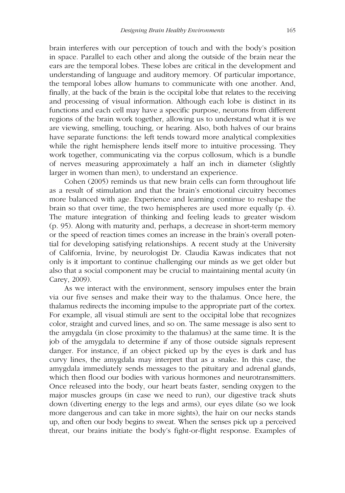brain interferes with our perception of touch and with the body's position in space. Parallel to each other and along the outside of the brain near the ears are the temporal lobes. These lobes are critical in the development and understanding of language and auditory memory. Of particular importance, the temporal lobes allow humans to communicate with one another. And, finally, at the back of the brain is the occipital lobe that relates to the receiving and processing of visual information. Although each lobe is distinct in its functions and each cell may have a specific purpose, neurons from different regions of the brain work together, allowing us to understand what it is we are viewing, smelling, touching, or hearing. Also, both halves of our brains have separate functions: the left tends toward more analytical complexities while the right hemisphere lends itself more to intuitive processing. They work together, communicating via the corpus collosum, which is a bundle of nerves measuring approximately a half an inch in diameter (slightly larger in women than men), to understand an experience.

Cohen (2005) reminds us that new brain cells can form throughout life as a result of stimulation and that the brain's emotional circuitry becomes more balanced with age. Experience and learning continue to reshape the brain so that over time, the two hemispheres are used more equally (p. 4). The mature integration of thinking and feeling leads to greater wisdom (p. 95). Along with maturity and, perhaps, a decrease in short-term memory or the speed of reaction times comes an increase in the brain's overall potential for developing satisfying relationships. A recent study at the University of California, Irvine, by neurologist Dr. Claudia Kawas indicates that not only is it important to continue challenging our minds as we get older but also that a social component may be crucial to maintaining mental acuity (in Carey, 2009).

As we interact with the environment, sensory impulses enter the brain via our five senses and make their way to the thalamus. Once here, the thalamus redirects the incoming impulse to the appropriate part of the cortex. For example, all visual stimuli are sent to the occipital lobe that recognizes color, straight and curved lines, and so on. The same message is also sent to the amygdala (in close proximity to the thalamus) at the same time. It is the job of the amygdala to determine if any of those outside signals represent danger. For instance, if an object picked up by the eyes is dark and has curvy lines, the amygdala may interpret that as a snake. In this case, the amygdala immediately sends messages to the pituitary and adrenal glands, which then flood our bodies with various hormones and neurotransmitters. Once released into the body, our heart beats faster, sending oxygen to the major muscles groups (in case we need to run), our digestive track shuts down (diverting energy to the legs and arms), our eyes dilate (so we look more dangerous and can take in more sights), the hair on our necks stands up, and often our body begins to sweat. When the senses pick up a perceived threat, our brains initiate the body's fight-or-flight response. Examples of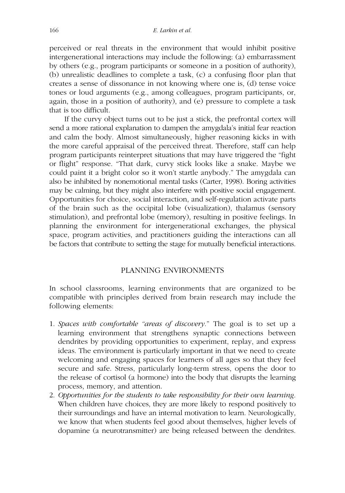perceived or real threats in the environment that would inhibit positive intergenerational interactions may include the following: (a) embarrassment by others (e.g., program participants or someone in a position of authority), (b) unrealistic deadlines to complete a task, (c) a confusing floor plan that creates a sense of dissonance in not knowing where one is, (d) tense voice tones or loud arguments (e.g., among colleagues, program participants, or, again, those in a position of authority), and (e) pressure to complete a task that is too difficult.

If the curvy object turns out to be just a stick, the prefrontal cortex will send a more rational explanation to dampen the amygdala's initial fear reaction and calm the body. Almost simultaneously, higher reasoning kicks in with the more careful appraisal of the perceived threat. Therefore, staff can help program participants reinterpret situations that may have triggered the "fight or flight" response. "That dark, curvy stick looks like a snake. Maybe we could paint it a bright color so it won't startle anybody." The amygdala can also be inhibited by nonemotional mental tasks (Carter, 1998). Boring activities may be calming, but they might also interfere with positive social engagement. Opportunities for choice, social interaction, and self-regulation activate parts of the brain such as the occipital lobe (visualization), thalamus (sensory stimulation), and prefrontal lobe (memory), resulting in positive feelings. In planning the environment for intergenerational exchanges, the physical space, program activities, and practitioners guiding the interactions can all be factors that contribute to setting the stage for mutually beneficial interactions.

## PLANNING ENVIRONMENTS

In school classrooms, learning environments that are organized to be compatible with principles derived from brain research may include the following elements:

- 1. *Spaces with comfortable "areas of discovery.*" The goal is to set up a learning environment that strengthens synaptic connections between dendrites by providing opportunities to experiment, replay, and express ideas. The environment is particularly important in that we need to create welcoming and engaging spaces for learners of all ages so that they feel secure and safe. Stress, particularly long-term stress, opens the door to the release of cortisol (a hormone) into the body that disrupts the learning process, memory, and attention.
- 2. *Opportunities for the students to take responsibility for their own learning.* When children have choices, they are more likely to respond positively to their surroundings and have an internal motivation to learn. Neurologically, we know that when students feel good about themselves, higher levels of dopamine (a neurotransmitter) are being released between the dendrites.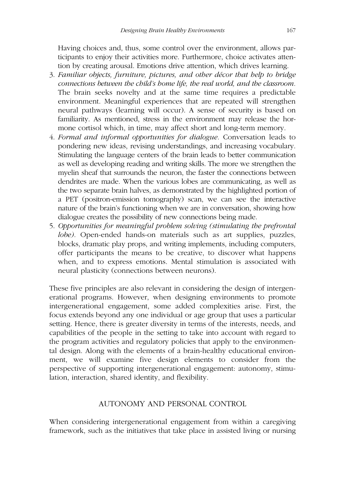Having choices and, thus, some control over the environment, allows participants to enjoy their activities more. Furthermore, choice activates attention by creating arousal. Emotions drive attention, which drives learning.

- 3. *Familiar objects, furniture, pictures, and other décor that help to bridge connections between the child's home life, the real world, and the classroom.* The brain seeks novelty and at the same time requires a predictable environment. Meaningful experiences that are repeated will strengthen neural pathways (learning will occur). A sense of security is based on familiarity. As mentioned, stress in the environment may release the hormone cortisol which, in time, may affect short and long-term memory.
- 4. *Formal and informal opportunities for dialogue.* Conversation leads to pondering new ideas, revising understandings, and increasing vocabulary. Stimulating the language centers of the brain leads to better communication as well as developing reading and writing skills. The more we strengthen the myelin sheaf that surrounds the neuron, the faster the connections between dendrites are made. When the various lobes are communicating, as well as the two separate brain halves, as demonstrated by the highlighted portion of a PET (positron-emission tomography) scan, we can see the interactive nature of the brain's functioning when we are in conversation, showing how dialogue creates the possibility of new connections being made.
- 5. *Opportunities for meaningful problem solving (stimulating the prefrontal lobe).* Open-ended hands-on materials such as art supplies, puzzles, blocks, dramatic play props, and writing implements, including computers, offer participants the means to be creative, to discover what happens when, and to express emotions. Mental stimulation is associated with neural plasticity (connections between neurons).

These five principles are also relevant in considering the design of intergenerational programs. However, when designing environments to promote intergenerational engagement, some added complexities arise. First, the focus extends beyond any one individual or age group that uses a particular setting. Hence, there is greater diversity in terms of the interests, needs, and capabilities of the people in the setting to take into account with regard to the program activities and regulatory policies that apply to the environmental design. Along with the elements of a brain-healthy educational environment, we will examine five design elements to consider from the perspective of supporting intergenerational engagement: autonomy, stimulation, interaction, shared identity, and flexibility.

## AUTONOMY AND PERSONAL CONTROL

When considering intergenerational engagement from within a caregiving framework, such as the initiatives that take place in assisted living or nursing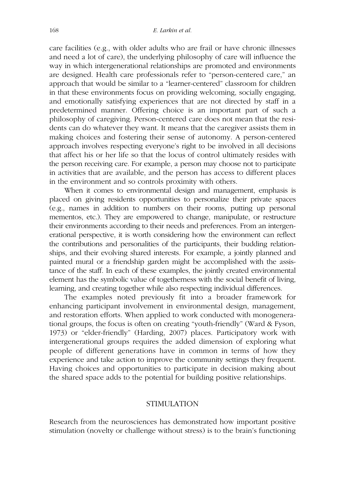care facilities (e.g., with older adults who are frail or have chronic illnesses and need a lot of care), the underlying philosophy of care will influence the way in which intergenerational relationships are promoted and environments are designed. Health care professionals refer to "person-centered care," an approach that would be similar to a "learner-centered" classroom for children in that these environments focus on providing welcoming, socially engaging, and emotionally satisfying experiences that are not directed by staff in a predetermined manner. Offering choice is an important part of such a philosophy of caregiving. Person-centered care does not mean that the residents can do whatever they want. It means that the caregiver assists them in making choices and fostering their sense of autonomy. A person-centered approach involves respecting everyone's right to be involved in all decisions that affect his or her life so that the locus of control ultimately resides with the person receiving care. For example, a person may choose not to participate in activities that are available, and the person has access to different places in the environment and so controls proximity with others.

When it comes to environmental design and management, emphasis is placed on giving residents opportunities to personalize their private spaces (e.g., names in addition to numbers on their rooms, putting up personal mementos, etc.). They are empowered to change, manipulate, or restructure their environments according to their needs and preferences. From an intergenerational perspective, it is worth considering how the environment can reflect the contributions and personalities of the participants, their budding relationships, and their evolving shared interests. For example, a jointly planned and painted mural or a friendship garden might be accomplished with the assistance of the staff. In each of these examples, the jointly created environmental element has the symbolic value of togetherness with the social benefit of living, learning, and creating together while also respecting individual differences.

The examples noted previously fit into a broader framework for enhancing participant involvement in environmental design, management, and restoration efforts. When applied to work conducted with monogenerational groups, the focus is often on creating "youth-friendly" (Ward & Fyson, 1973) or "elder-friendly" (Harding, 2007) places. Participatory work with intergenerational groups requires the added dimension of exploring what people of different generations have in common in terms of how they experience and take action to improve the community settings they frequent. Having choices and opportunities to participate in decision making about the shared space adds to the potential for building positive relationships.

## **STIMULATION**

Research from the neurosciences has demonstrated how important positive stimulation (novelty or challenge without stress) is to the brain's functioning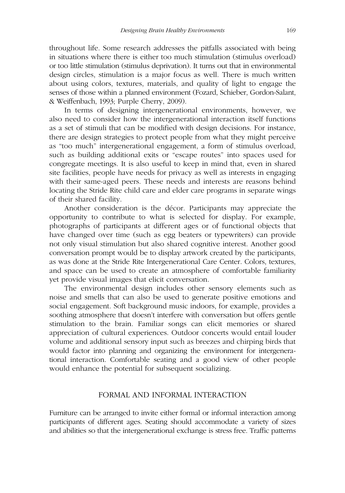throughout life. Some research addresses the pitfalls associated with being in situations where there is either too much stimulation (stimulus overload) or too little stimulation (stimulus deprivation). It turns out that in environmental design circles, stimulation is a major focus as well. There is much written about using colors, textures, materials, and quality of light to engage the senses of those within a planned environment (Fozard, Schieber, Gordon-Salant, & Weiffenbach, 1993; Purple Cherry, 2009).

In terms of designing intergenerational environments, however, we also need to consider how the intergenerational interaction itself functions as a set of stimuli that can be modified with design decisions. For instance, there are design strategies to protect people from what they might perceive as "too much" intergenerational engagement, a form of stimulus overload, such as building additional exits or "escape routes" into spaces used for congregate meetings. It is also useful to keep in mind that, even in shared site facilities, people have needs for privacy as well as interests in engaging with their same-aged peers. These needs and interests are reasons behind locating the Stride Rite child care and elder care programs in separate wings of their shared facility.

Another consideration is the décor. Participants may appreciate the opportunity to contribute to what is selected for display. For example, photographs of participants at different ages or of functional objects that have changed over time (such as egg beaters or typewriters) can provide not only visual stimulation but also shared cognitive interest. Another good conversation prompt would be to display artwork created by the participants, as was done at the Stride Rite Intergenerational Care Center. Colors, textures, and space can be used to create an atmosphere of comfortable familiarity yet provide visual images that elicit conversation.

The environmental design includes other sensory elements such as noise and smells that can also be used to generate positive emotions and social engagement. Soft background music indoors, for example, provides a soothing atmosphere that doesn't interfere with conversation but offers gentle stimulation to the brain. Familiar songs can elicit memories or shared appreciation of cultural experiences. Outdoor concerts would entail louder volume and additional sensory input such as breezes and chirping birds that would factor into planning and organizing the environment for intergenerational interaction. Comfortable seating and a good view of other people would enhance the potential for subsequent socializing.

#### FORMAL AND INFORMAL INTERACTION

Furniture can be arranged to invite either formal or informal interaction among participants of different ages. Seating should accommodate a variety of sizes and abilities so that the intergenerational exchange is stress free. Traffic patterns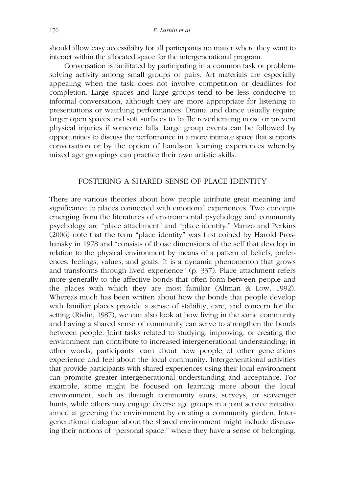should allow easy accessibility for all participants no matter where they want to interact within the allocated space for the intergenerational program.

Conversation is facilitated by participating in a common task or problemsolving activity among small groups or pairs. Art materials are especially appealing when the task does not involve competition or deadlines for completion. Large spaces and large groups tend to be less conducive to informal conversation, although they are more appropriate for listening to presentations or watching performances. Drama and dance usually require larger open spaces and soft surfaces to baffle reverberating noise or prevent physical injuries if someone falls. Large group events can be followed by opportunities to discuss the performance in a more intimate space that supports conversation or by the option of hands-on learning experiences whereby mixed age groupings can practice their own artistic skills.

## FOSTERING A SHARED SENSE OF PLACE IDENTITY

There are various theories about how people attribute great meaning and significance to places connected with emotional experiences. Two concepts emerging from the literatures of environmental psychology and community psychology are "place attachment" and "place identity." Manzo and Perkins (2006) note that the term "place identity" was first coined by Harold Proshansky in 1978 and "consists of those dimensions of the self that develop in relation to the physical environment by means of a pattern of beliefs, preferences, feelings, values, and goals. It is a dynamic phenomenon that grows and transforms through lived experience" (p. 337). Place attachment refers more generally to the affective bonds that often form between people and the places with which they are most familiar (Altman & Low, 1992). Whereas much has been written about how the bonds that people develop with familiar places provide a sense of stability, care, and concern for the setting (Rivlin, 1987), we can also look at how living in the same community and having a shared sense of community can serve to strengthen the bonds between people. Joint tasks related to studying, improving, or creating the environment can contribute to increased intergenerational understanding; in other words, participants learn about how people of other generations experience and feel about the local community. Intergenerational activities that provide participants with shared experiences using their local environment can promote greater intergenerational understanding and acceptance. For example, some might be focused on learning more about the local environment, such as through community tours, surveys, or scavenger hunts, while others may engage diverse age groups in a joint service initiative aimed at greening the environment by creating a community garden. Intergenerational dialogue about the shared environment might include discussing their notions of "personal space," where they have a sense of belonging,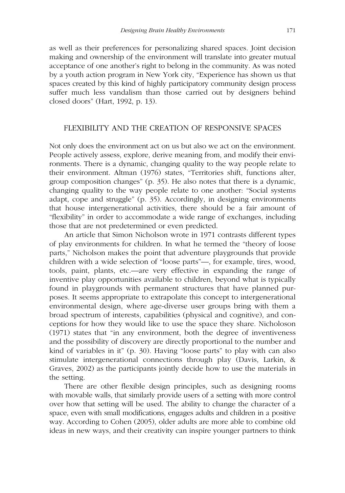as well as their preferences for personalizing shared spaces. Joint decision making and ownership of the environment will translate into greater mutual acceptance of one another's right to belong in the community. As was noted by a youth action program in New York city, "Experience has shown us that spaces created by this kind of highly participatory community design process suffer much less vandalism than those carried out by designers behind closed doors" (Hart, 1992, p. 13).

## FLEXIBILITY AND THE CREATION OF RESPONSIVE SPACES

Not only does the environment act on us but also we act on the environment. People actively assess, explore, derive meaning from, and modify their environments. There is a dynamic, changing quality to the way people relate to their environment. Altman (1976) states, "Territories shift, functions alter, group composition changes" (p. 35). He also notes that there is a dynamic, changing quality to the way people relate to one another: "Social systems adapt, cope and struggle" (p. 35). Accordingly, in designing environments that house intergenerational activities, there should be a fair amount of "flexibility" in order to accommodate a wide range of exchanges, including those that are not predetermined or even predicted.

An article that Simon Nicholson wrote in 1971 contrasts different types of play environments for children. In what he termed the "theory of loose parts," Nicholson makes the point that adventure playgrounds that provide children with a wide selection of "loose parts"—, for example, tires, wood, tools, paint, plants, etc.—are very effective in expanding the range of inventive play opportunities available to children, beyond what is typically found in playgrounds with permanent structures that have planned purposes. It seems appropriate to extrapolate this concept to intergenerational environmental design, where age-diverse user groups bring with them a broad spectrum of interests, capabilities (physical and cognitive), and conceptions for how they would like to use the space they share. Nicholoson (1971) states that "in any environment, both the degree of inventiveness and the possibility of discovery are directly proportional to the number and kind of variables in it" (p. 30). Having "loose parts" to play with can also stimulate intergenerational connections through play (Davis, Larkin, & Graves, 2002) as the participants jointly decide how to use the materials in the setting.

There are other flexible design principles, such as designing rooms with movable walls, that similarly provide users of a setting with more control over how that setting will be used. The ability to change the character of a space, even with small modifications, engages adults and children in a positive way. According to Cohen (2005), older adults are more able to combine old ideas in new ways, and their creativity can inspire younger partners to think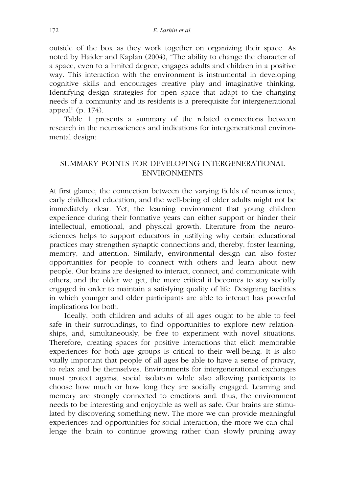outside of the box as they work together on organizing their space. As noted by Haider and Kaplan (2004), "The ability to change the character of a space, even to a limited degree, engages adults and children in a positive way. This interaction with the environment is instrumental in developing cognitive skills and encourages creative play and imaginative thinking. Identifying design strategies for open space that adapt to the changing needs of a community and its residents is a prerequisite for intergenerational appeal" (p. 174).

Table 1 presents a summary of the related connections between research in the neurosciences and indications for intergenerational environmental design:

## SUMMARY POINTS FOR DEVELOPING INTERGENERATIONAL ENVIRONMENTS

At first glance, the connection between the varying fields of neuroscience, early childhood education, and the well-being of older adults might not be immediately clear. Yet, the learning environment that young children experience during their formative years can either support or hinder their intellectual, emotional, and physical growth. Literature from the neurosciences helps to support educators in justifying why certain educational practices may strengthen synaptic connections and, thereby, foster learning, memory, and attention. Similarly, environmental design can also foster opportunities for people to connect with others and learn about new people. Our brains are designed to interact, connect, and communicate with others, and the older we get, the more critical it becomes to stay socially engaged in order to maintain a satisfying quality of life. Designing facilities in which younger and older participants are able to interact has powerful implications for both.

Ideally, both children and adults of all ages ought to be able to feel safe in their surroundings, to find opportunities to explore new relationships, and, simultaneously, be free to experiment with novel situations. Therefore, creating spaces for positive interactions that elicit memorable experiences for both age groups is critical to their well-being. It is also vitally important that people of all ages be able to have a sense of privacy, to relax and be themselves. Environments for intergenerational exchanges must protect against social isolation while also allowing participants to choose how much or how long they are socially engaged. Learning and memory are strongly connected to emotions and, thus, the environment needs to be interesting and enjoyable as well as safe. Our brains are stimulated by discovering something new. The more we can provide meaningful experiences and opportunities for social interaction, the more we can challenge the brain to continue growing rather than slowly pruning away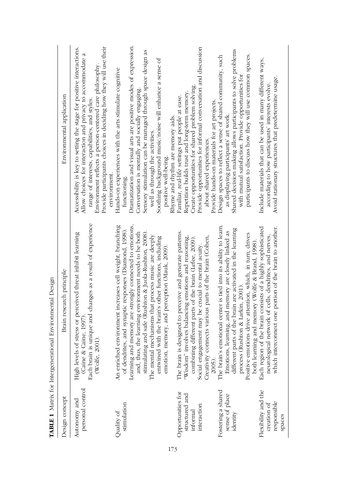|                                                                | <b>LADLE 1</b> MAUTA TOI HIEFREHETALIOHAI EHVITOIHEINAI DESIgHI                                                                                                                                                                                                                                                                                                                                                                                                   |                                                                                                                                                                                                                                                                                                                                                                                                                     |
|----------------------------------------------------------------|-------------------------------------------------------------------------------------------------------------------------------------------------------------------------------------------------------------------------------------------------------------------------------------------------------------------------------------------------------------------------------------------------------------------------------------------------------------------|---------------------------------------------------------------------------------------------------------------------------------------------------------------------------------------------------------------------------------------------------------------------------------------------------------------------------------------------------------------------------------------------------------------------|
| Design concept                                                 | Brain research principle                                                                                                                                                                                                                                                                                                                                                                                                                                          | Environmental application                                                                                                                                                                                                                                                                                                                                                                                           |
| personal control<br>Autonomy and                               | is unique and changes as a result of experience<br>of stress or perceived threat inhibit learning<br>Caine & Caine, 1997<br>(Wolfe, 2001)<br>High levels<br>Each brain                                                                                                                                                                                                                                                                                            | Provide participants choices in deciding how they will use their<br>Accessibility is key to setting the stage for positive interactions.<br>Allow choices for interaction and privacy to accommodate<br>Environment reflects a person-centered care philosophy.<br>range of interests, capabilities, and styles.<br>environment                                                                                     |
| stimulation<br>Quality of                                      | Learning and memory are strongly connected to emotions,<br>An enriched environment increases cell weight, branching<br>of dendrites, and synaptic responses (Diamond, 1998).<br>and, thus, the learning environment needs to be both<br>stimulating and safe (Rushton & Juola-Rushton, 2008)<br>mechanisms that process music are deeply<br>entwined with the brain's other functions, including<br>memory, and perception (Mauk, 2009)<br>The mental<br>emotion, | Dramatization and visual arts are positive modes of expression.<br>Sensory stimulation can be managed through space design as<br>Soothing background music/noise will enhance a sense of<br>Hands-on experiences with the arts stimulate cognitive<br>Conversation is mentally and socially engaging<br>Rhyme and rhythm are memory aids.<br>well as through the activities<br>positive well-being.<br>functioning. |
| Opportunities for<br>structured and<br>interaction<br>informal | The brain is designed to perceive and generate patterns.<br>involves balancing emotions and reasoning,<br>Creativity connects various parts of the brain (Cohen,<br>combining different parts of the brain (Lefee, 2009).<br>gement may be crucial to mental acuity.<br>Social enga<br>"Wisdom"<br>2005).                                                                                                                                                         | Provide opportunities for informal conversation and discussion<br>Create opportunities for shared problem solving.<br>Repetition builds trust and long-term memory.<br>Familiar, real-life settings put people at ease.<br>Provide hands-on materials for art projects.<br>about shared experiences                                                                                                                 |
| Fostering a shared<br>sense of place<br>identity               | emotional center is tied into its ability to learn.<br>parts of the brain are activated in the learning<br>Emotions, learning, and memory are closely linked as<br>Positive emotions drive attention, which, in turn, drives<br>both learning and memory (Wolfe & Brand, 1998)<br>process (Rushton & Larkin, 2001)<br>The brain's<br>different                                                                                                                    | Shared decision making allows participants to solve problems<br>participants to discuss how they will use common spaces.<br>Design spaces to reflect a sense of shared community, such<br>with mutual satisfaction. Provide opportunities for<br>as displaying participants' art work.                                                                                                                              |
| Flexibility and the<br>responsible<br>creation of<br>spaces    | which interconnect one portion of the brain to another.<br>Each region of the brain consists of a highly sophisticated<br>neurological network of cells, dendrites, and nerves,                                                                                                                                                                                                                                                                                   | Include materials that can be used in many different ways,<br>Avoid stationary structures that predetermine usage.<br>according to how participants' interests evolve.                                                                                                                                                                                                                                              |
|                                                                |                                                                                                                                                                                                                                                                                                                                                                                                                                                                   |                                                                                                                                                                                                                                                                                                                                                                                                                     |

ntal Decian **TABLE 1** Matrix for Intergenerational Environmental Design al Fori **TARIE 1** Matrix for In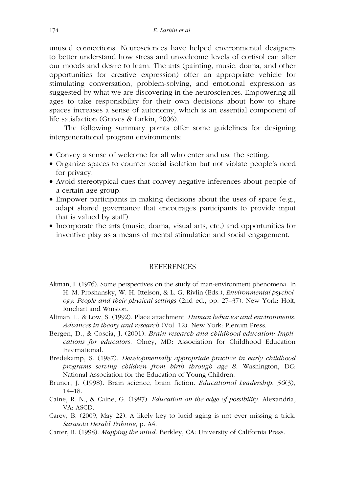unused connections. Neurosciences have helped environmental designers to better understand how stress and unwelcome levels of cortisol can alter our moods and desire to learn. The arts (painting, music, drama, and other opportunities for creative expression) offer an appropriate vehicle for stimulating conversation, problem-solving, and emotional expression as suggested by what we are discovering in the neurosciences. Empowering all ages to take responsibility for their own decisions about how to share spaces increases a sense of autonomy, which is an essential component of life satisfaction (Graves & Larkin, 2006).

The following summary points offer some guidelines for designing intergenerational program environments:

- Convey a sense of welcome for all who enter and use the setting.
- Organize spaces to counter social isolation but not violate people's need for privacy.
- Avoid stereotypical cues that convey negative inferences about people of a certain age group.
- Empower participants in making decisions about the uses of space (e.g., adapt shared governance that encourages participants to provide input that is valued by staff).
- Incorporate the arts (music, drama, visual arts, etc.) and opportunities for inventive play as a means of mental stimulation and social engagement.

## **REFERENCES**

- Altman, I. (1976). Some perspectives on the study of man-environment phenomena. In H. M. Proshansky, W. H. Ittelson, & L. G. Rivlin (Eds.), *Environmental psychology: People and their physical settings* (2nd ed., pp. 27–37). New York: Holt, Rinehart and Winston.
- Altman, I., & Low, S. (1992). Place attachment. *Human behavior and environments: Advances in theory and research* (Vol. 12). New York: Plenum Press.
- Bergen, D., & Coscia, J. (2001). *Brain research and childhood education: Implications for educators*. Olney, MD: Association for Childhood Education International.
- Bredekamp, S. (1987). *Developmentally appropriate practice in early childhood programs serving children from birth through age 8*. Washington, DC: National Association for the Education of Young Children.
- Bruner, J. (1998). Brain science, brain fiction. *Educational Leadership*, *56*(3), 14–18.
- Caine, R. N., & Caine, G. (1997). *Education on the edge of possibility*. Alexandria, VA: ASCD.
- Carey, B. (2009, May 22). A likely key to lucid aging is not ever missing a trick. *Sarasota Herald Tribune*, p. A4.
- Carter, R. (1998). *Mapping the mind*. Berkley, CA: University of California Press.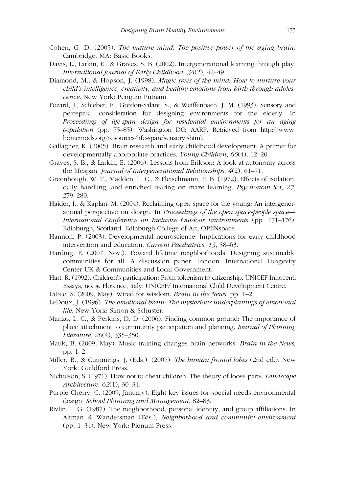- Cohen, G. D. (2005). *The mature mind: The positive power of the aging brain*. Cambridge. MA: Basic Books.
- Davis, L., Larkin, E., & Graves, S. B. (2002). Intergenerational learning through play. *International Journal of Early Childhood*, *34*(2), 42–49.
- Diamond, M., & Hopson, J. (1998). *Magic trees of the mind: How to nurture your child's intelligence, creativity, and healthy emotions from birth through adolescence*. New York: Penguin Putnam.
- Fozard, J., Schieber, F., Gordon-Salant, S., & Weiffenbach, J. M. (1993). Sensory and perceptual consideration for designing environments for the elderly*.* In *Proceedings of life-span design for residential environments for an aging population* (pp. 75–85). Washington DC: AARP. Retrieved from http://www. homemods.org/resources/life-span/sensory.shtml.
- Gallagher, K. (2005). Brain research and early childhood development: A primer for developmentally appropriate practices. *Young Children*, *60*(4), 12–20.
- Graves, S. B., & Larkin, E. (2006). Lessons from Erikson: A look at autonomy across the lifespan. *Journal of Intergenerational Relationships*, *4*(2), 61–71.
- Greenhough, W. T., Madden, T. C., & Fleischmann, T. B. (1972). Effects of isolation, daily handling, and enriched rearing on maze learning. *Psychonom Sci*, *27*, 279–280.
- Haider, J., & Kaplan, M. (2004). Reclaiming open space for the young: An intergenerational perspective on design. In *Proceedings of the open space-people space— International Conference on Inclusive Outdoor Environments* (pp. 171–176). Edinburgh, Scotland: Edinburgh College of Art, OPENspace.
- Hannon, P. (2003). Developmental neuroscience: Implications for early childhood intervention and education. *Current Paediatrics*, *13*, 58–63.
- Harding, E. (2007, Nov.). Toward lifetime neighborhoods: Designing sustainable communities for all. A discussion paper. London: International Longevity Center-UK & Communities and Local Government.
- Hart, R. (1992). Children's participation: From tokenism to citizenship. UNICEF Innocenti Essays, no. 4. Florence, Italy: UNICEF/ International Child Development Centre.
- LaFee, S. (2009, May). Wired for wisdom. *Brain in the News*, pp. 1–2.
- LeDoux, J. (1996). *The emotional brain: The mysterious underpinnings of emotional life*. New York: Simon & Schuster.
- Manzo, L. C., & Perkins, D. D. (2006). Finding common ground: The importance of place attachment to community participation and planning. *Journal of Planning Literature*, *20*(4), 335–350.
- Mauk, B. (2009, May). Music training changes brain networks. *Brain in the News*, pp. 1–2.
- Miller, B., & Cummings, J. (Eds.). (2007). *The human frontal lobes* (2nd ed.). New York: Guildford Press.
- Nicholson, S. (1971). How not to cheat children: The theory of loose parts. *Landscape Architecture*, *62*(1), 30–34.
- Purple Cherry, C. (2009, January). Eight key issues for special needs environmental design. *School Planning and Management*, 82–83.
- Rivlin, L. G. (1987). The neighborhood, personal identity, and group affiliations. In Altman & Wandersman (Eds.), *Neighborhood and community environment* (pp. 1–34). New York: Plenum Press.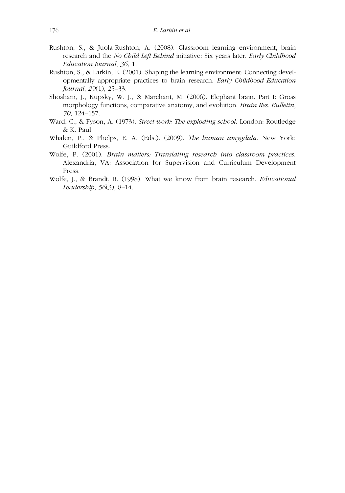- Rushton, S., & Juola-Rushton, A. (2008). Classroom learning environment, brain research and the *No Child Left Behind* initiative: Six years later. *Early Childhood Education Journal*, *36*, 1.
- Rushton, S., & Larkin, E. (2001). Shaping the learning environment: Connecting developmentally appropriate practices to brain research. *Early Childhood Education Journal*, *29*(1), 25–33.
- Shoshani, J., Kupsky, W. J., & Marchant, M. (2006). Elephant brain. Part I: Gross morphology functions, comparative anatomy, and evolution. *Brain Res. Bulletin*, *70*, 124–157.
- Ward, C., & Fyson, A. (1973). *Street work: The exploding school*. London: Routledge & K. Paul.
- Whalen, P., & Phelps, E. A. (Eds.). (2009). *The human amygdala*. New York: Guildford Press.
- Wolfe, P. (2001). *Brain matters: Translating research into classroom practices*. Alexandria, VA: Association for Supervision and Curriculum Development Press.
- Wolfe, J., & Brandt, R. (1998). What we know from brain research. *Educational Leadership*, *56*(3), 8–14.